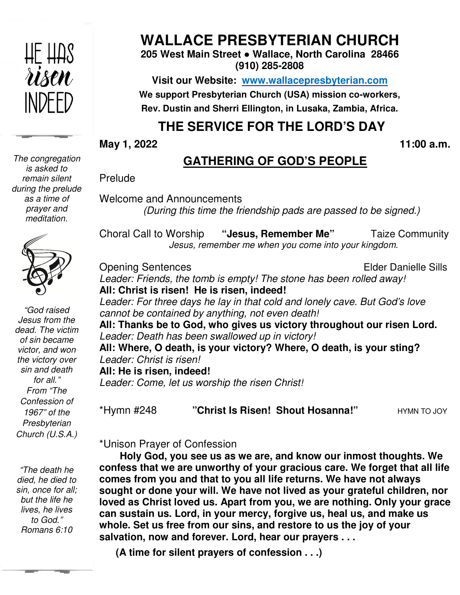

**WALLACE PRESBYTERIAN CHURCH**

**205 West Main Street ● Wallace, North Carolina 28466 (910) 285-2808** 

**Visit our Website: www.wallacepresbyterian.com** We support Presbyterian Church (USA) mission co-workers, **Rev. Dustin and Sherri Ellington, in Lusaka, Zambia, Africa. Sherri Ellington,** 

# **THE SERVICE FOR THE LORD'S DAY** **THE SERVICE**

**May 1, 2022** 

 **11:00 a.m.**

### **GATHERING OF GOD'S PEOPLE**

Prelude

Welcome and Announcements and Announcements*(During this time (During time the friendship pads are passed to be signed.)*

Choral Call to Worship *Jesus, remember me when you come into your kingdom Jesus, remember kingdom.*  **"Jesus, Remember Me"** Taize Communit

Opening Sentences Leader: Friends, the tomb is empty! The stone has been rolled away! **All: Christ is risen! He is risen, indeed! risen,** Elder Danielle Sills

Leader: For three days he lay in that cold and lonely cave. But God's love *cannot be contained by anything, not even death!*

**All: Thanks be to God, who gives us victory throughout our risen Lord. God,** Leader: Death has been swallowed up in victory! All: Thanks be to God, who gives us victory throughout our risen L<br>*Leader: Death has been swallowed up in victory!*<br>All: Where, O death, is your victory? Where, O death, is your sting? *Leader: Christ is risen!*  **All: He is risen, indeed!** *Leader: Come, let us worship the risen Christ!* **risen, Risen! Shout Hosanna!"** HYMN TO JOY

\*Hymn #248 **"Christ Is** 

**HYMN TO JOY** 

\*Unison Prayer of Confession

 **Holy God, you see us as we are, and know our inmost thoughts. We confess that we are unworthy of your gracious care. We forget that all life**  Holy God, you see us as we are, and know our inmost thoughts.<br>† confess that we are unworthy of your gracious care. We forget that<br>† comes from you and that to you all life returns. We have not always **sought or done your will. We have not lived as your grateful children, nor loved as Christ loved us. Apart from you, we are nothing. Only your grace can sustain us. Lord, in your mercy, forgive us, heal us, and m whole. Set us free from our sins, and restore to us the joy of your salvation, now and forever. Lord, hear our prayers . . .** confess that we are unworthy of your gracious care. We forget that all comes from you and that to you all life returns. We have not always sought or done your will. We have not lived as your grateful children, loved as Chr **Example 11:00 a.m. CATHERING OF GOD'S PEOPLE**<br>
Prelude<br>
Welcome and Announcements<br>
(During this time the friendship pads are passed to be signed.)<br>
Choral Call to Worship "Jesus, Remember Me"<br>
Taize Community<br>
Jesus, re

**(A time for silent prayers of confession . . .)**

*The congregation is asked to remain silent during the prelude as a time of prayer and meditation.* 



*"God raised Jesus from the dead. The victim of sin became victor, and won the victory over sin and death for all." From "The Confession of 1967" of the Presbyterian Church (U.S.A.)*

*"The death he died, he died to sin, once for all; but the life he lives, he lives to God." Romans 6:10*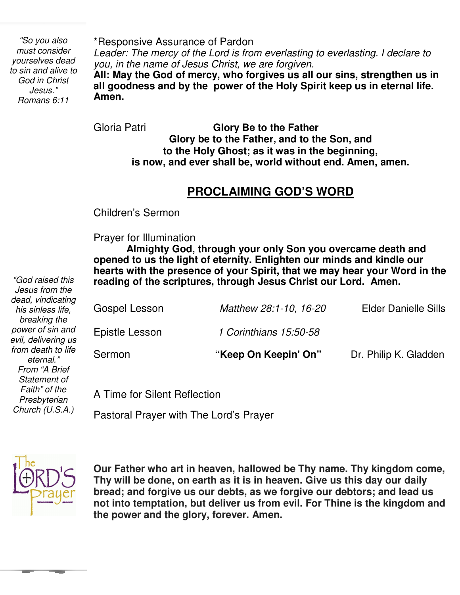*"So you also must consider yourselves dead to sin and alive to God in Christ Jesus." Romans 6:11* 

\*Responsive Assurance of Pardon

*Leader: The mercy of the Lord is from everlasting to everlasting. I declare to you, in the name of Jesus Christ, we are forgiven.*

**All: May the God of mercy, who forgives us all our sins, strengthen us in all goodness and by the power of the Holy Spirit keep us in eternal life. Amen.**

Gloria Patri **Glory Be to the Father Glory be to the Father, and to the Son, and to the Holy Ghost; as it was in the beginning, is now, and ever shall be, world without end. Amen, amen.** 

## **PROCLAIMING GOD'S WORD**

Children's Sermon

 Prayer for Illumination

**Almighty God, through your only Son you overcame death and opened to us the light of eternity. Enlighten our minds and kindle our hearts with the presence of your Spirit, that we may hear your Word in the reading of the scriptures, through Jesus Christ our Lord. Amen.** 

| dead, vindicating<br>his sinless life,<br>breaking the | Gospel Lesson  | Matthew 28:1-10, 16-20 | <b>Elder Danielle Sills</b> |
|--------------------------------------------------------|----------------|------------------------|-----------------------------|
| power of sin and<br>evil, delivering us                | Epistle Lesson | 1 Corinthians 15.50-58 |                             |
| from death to life<br>eternal."<br>From "A Brief       | Sermon         | "Keep On Keepin' On"   | Dr. Philip K. Gladden       |

A Time for Silent Reflection

Pastoral Prayer with The Lord's Prayer



*"God raised this Jesus from the* 

*from death to life eternal." From "A Brief Statement of Faith" of the Presbyterian Church (U.S.A.)* 

> **Our Father who art in heaven, hallowed be Thy name. Thy kingdom come, Thy will be done, on earth as it is in heaven. Give us this day our daily bread; and forgive us our debts, as we forgive our debtors; and lead us not into temptation, but deliver us from evil. For Thine is the kingdom and the power and the glory, forever. Amen.**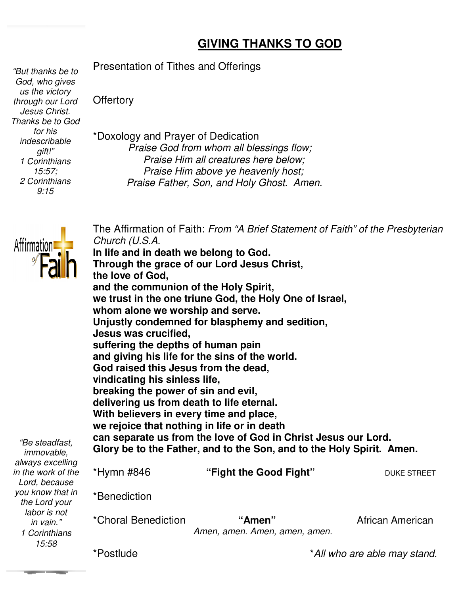### **GIVING THANKS TO GOD**

 *us the victory "But thanks be to God, who gives through our Lord Jesus Christ. Thanks be to God for his indescribable gift!" 1 Corinthians 15:57; 2 Corinthians 9:15* 

Presentation of Tithes and Offerings

**Offertory** 

\*Doxology and Prayer of Dedication *Praise God from whom all blessings flow; Praise Him all creatures here below; Praise Him above ye heavenly host; Praise Father, Son, and Holy Ghost. Amen.*



*you know that in the Lord your labor is not in vain."* 

*15:58* 

The Affirmation of Faith: From "A Brief Statement of Faith" of the Presbyterian *Church (U.S.A.* 

**In life and in death we belong to God. Through the grace of our Lord Jesus Christ, the love of God, and the communion of the Holy Spirit, we trust in the one triune God, the Holy One of Israel, whom alone we worship and serve.** In life and in death we belong to God.<br>Through the grace of our Lord Jesus Christ,<br>the love of God,<br>and the communion of the Holy Spirit,<br>we trust in the one triune God, the Holy One of Isr<br>whom alone we worship and serve. **Jesus was crucified, suffering the depths of human pain and giving his life for the sins of the world. God raised this Jesus from the dead, vindicating his sinless life, life, breaking the power of sin and evil,** delivering us from death to life eternal. **With believers in every time and place,** With believers in every time and place,<br>we rejoice that nothing in life or in death **can separate us from the love of God in Christ Jesus our Lord.** can separate us from the love of God in Christ Jesus our Lord.<br>Glory be to the Father, and to the Son, and to the Holy Spirit. Amen. \*Hymn #846 **"** *"Be steadfast, immovable, always excelling in the work of the Lord, because*  suffering the depths of human pain<br>and giving his life for the sins of the **\**<br>God raised this Jesus from the dead, **"Fight the Good Fight"** DUKE STREET

\*Benediction

| labor is not<br>in vain." | *Choral Benediction | "Amen"                        | African American |
|---------------------------|---------------------|-------------------------------|------------------|
| 1 Corinthians             |                     | Amen, amen. Amen, amen, amen. |                  |
| 15:58                     |                     |                               |                  |

\*Postlude

\**All who are able may stand.*